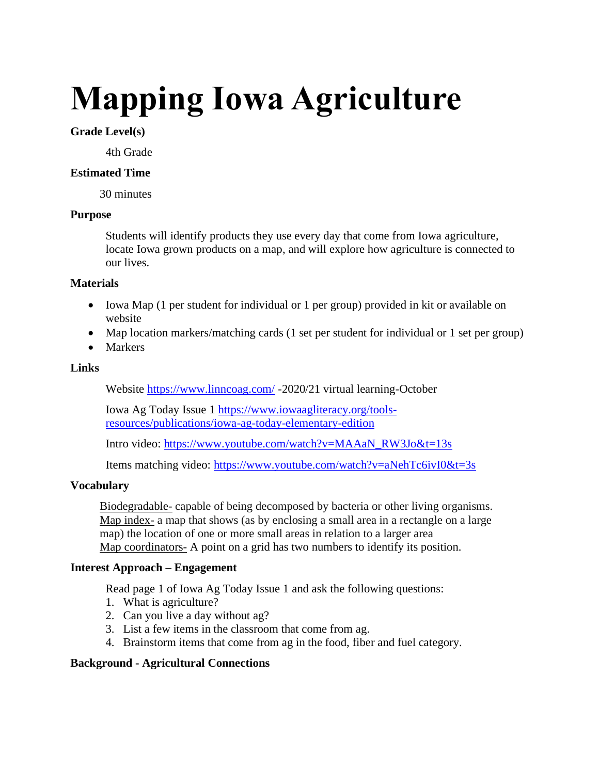# **Mapping Iowa Agriculture**

## **Grade Level(s)**

4th Grade

## **Estimated Time**

30 minutes

## **Purpose**

Students will identify products they use every day that come from Iowa agriculture, locate Iowa grown products on a map, and will explore how agriculture is connected to our lives.

## **Materials**

- Iowa Map (1 per student for individual or 1 per group) provided in kit or available on website
- Map location markers/matching cards (1 set per student for individual or 1 set per group)
- Markers

## **Links**

Website<https://www.linncoag.com/> -2020/21 virtual learning-October

Iowa Ag Today Issue 1 [https://www.iowaagliteracy.org/tools](https://www.iowaagliteracy.org/tools-resources/publications/iowa-ag-today-elementary-edition)[resources/publications/iowa-ag-today-elementary-edition](https://www.iowaagliteracy.org/tools-resources/publications/iowa-ag-today-elementary-edition)

Intro video: [https://www.youtube.com/watch?v=MAAaN\\_RW3Jo&t=13s](https://www.youtube.com/watch?v=MAAaN_RW3Jo&t=13s)

Items matching video:<https://www.youtube.com/watch?v=aNehTc6ivI0&t=3s>

## **Vocabulary**

Biodegradable- capable of being decomposed by bacteria or other living organisms. Map index- a map that shows (as by enclosing a small area in a rectangle on a large map) the location of one or more small areas in relation to a larger area Map coordinators- A point on a grid has two numbers to identify its position.

## **Interest Approach – Engagement**

Read page 1 of Iowa Ag Today Issue 1 and ask the following questions:

- 1. What is agriculture?
- 2. Can you live a day without ag?
- 3. List a few items in the classroom that come from ag.
- 4. Brainstorm items that come from ag in the food, fiber and fuel category.

## **Background - Agricultural Connections**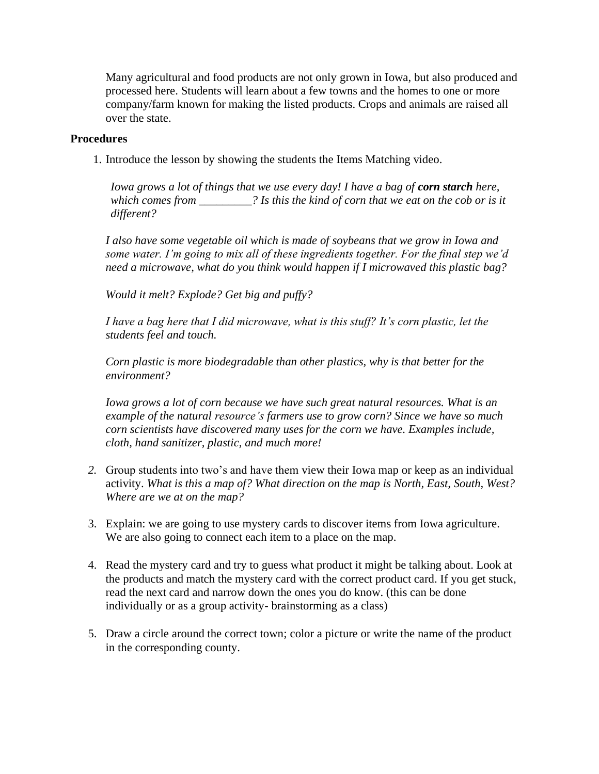Many agricultural and food products are not only grown in Iowa, but also produced and processed here. Students will learn about a few towns and the homes to one or more company/farm known for making the listed products. Crops and animals are raised all over the state.

## **Procedures**

1. Introduce the lesson by showing the students the Items Matching video.

*Iowa grows a lot of things that we use every day! I have a bag of corn starch here, which comes from \_\_\_\_\_\_\_\_\_? Is this the kind of corn that we eat on the cob or is it different?* 

*I also have some vegetable oil which is made of soybeans that we grow in Iowa and some water. I'm going to mix all of these ingredients together. For the final step we'd need a microwave, what do you think would happen if I microwaved this plastic bag?* 

*Would it melt? Explode? Get big and puffy?* 

*I have a bag here that I did microwave, what is this stuff? It's corn plastic, let the students feel and touch.* 

*Corn plastic is more biodegradable than other plastics, why is that better for the environment?* 

*Iowa grows a lot of corn because we have such great natural resources. What is an example of the natural resource's farmers use to grow corn? Since we have so much corn scientists have discovered many uses for the corn we have. Examples include, cloth, hand sanitizer, plastic, and much more!*

- *2.* Group students into two's and have them view their Iowa map or keep as an individual activity. *What is this a map of? What direction on the map is North, East, South, West? Where are we at on the map?*
- 3. Explain: we are going to use mystery cards to discover items from Iowa agriculture. We are also going to connect each item to a place on the map.
- 4. Read the mystery card and try to guess what product it might be talking about. Look at the products and match the mystery card with the correct product card. If you get stuck, read the next card and narrow down the ones you do know. (this can be done individually or as a group activity- brainstorming as a class)
- 5. Draw a circle around the correct town; color a picture or write the name of the product in the corresponding county.